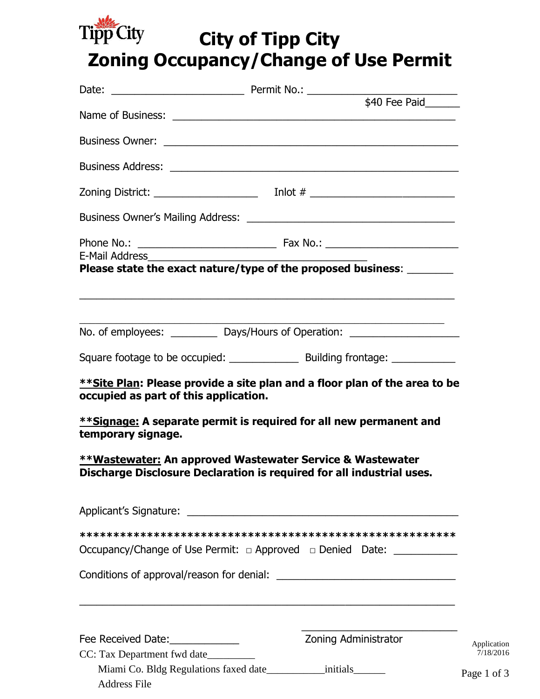

# **City of Tipp City Zoning Occupancy/Change of Use Permit**

| E-Mail Address                                                          |                                                                                                                                                                                                                                |
|-------------------------------------------------------------------------|--------------------------------------------------------------------------------------------------------------------------------------------------------------------------------------------------------------------------------|
|                                                                         | Please state the exact nature/type of the proposed business: _______<br><u> 1989 - Johann Stoff, amerikansk politiker (d. 1989)</u>                                                                                            |
|                                                                         | No. of employees: ____________ Days/Hours of Operation: ________________________                                                                                                                                               |
|                                                                         | Square footage to be occupied: _________________ Building frontage: ____________                                                                                                                                               |
| occupied as part of this application.<br>temporary signage.             | **Site Plan: Please provide a site plan and a floor plan of the area to be<br>**Signage: A separate permit is required for all new permanent and                                                                               |
|                                                                         | **Wastewater: An approved Wastewater Service & Wastewater<br>Discharge Disclosure Declaration is required for all industrial uses.                                                                                             |
|                                                                         | Applicant's Signature: et al. 2016. The contract of the state of the state of the state of the state of the state of the state of the state of the state of the state of the state of the state of the state of the state of t |
|                                                                         |                                                                                                                                                                                                                                |
|                                                                         | Occupancy/Change of Use Permit: □ Approved □ Denied Date: ______________________                                                                                                                                               |
|                                                                         |                                                                                                                                                                                                                                |
|                                                                         |                                                                                                                                                                                                                                |
| Fee Received Date:_____________<br>CC: Tax Department fwd date_________ | Zoning Administrator                                                                                                                                                                                                           |
| <b>Address File</b>                                                     | Miami Co. Bldg Regulations faxed date_________________initials________<br>$P_i$                                                                                                                                                |

Application 7/18/2016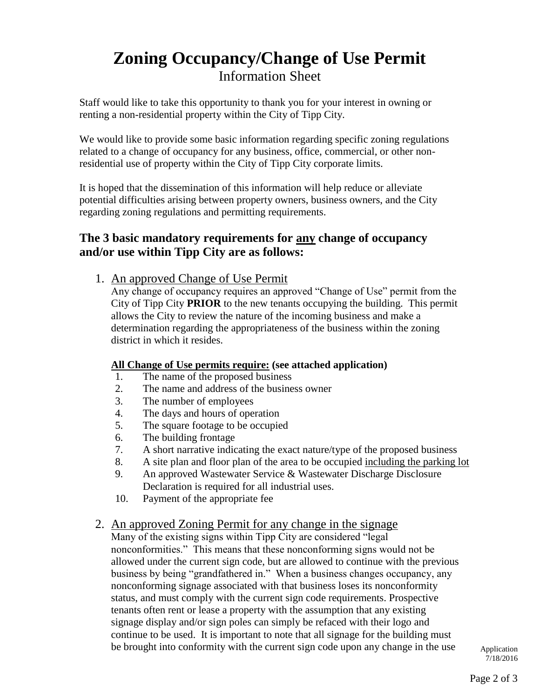# **Zoning Occupancy/Change of Use Permit** Information Sheet

Staff would like to take this opportunity to thank you for your interest in owning or renting a non-residential property within the City of Tipp City.

We would like to provide some basic information regarding specific zoning regulations related to a change of occupancy for any business, office, commercial, or other nonresidential use of property within the City of Tipp City corporate limits.

It is hoped that the dissemination of this information will help reduce or alleviate potential difficulties arising between property owners, business owners, and the City regarding zoning regulations and permitting requirements.

## **The 3 basic mandatory requirements for any change of occupancy and/or use within Tipp City are as follows:**

1. An approved Change of Use Permit

Any change of occupancy requires an approved "Change of Use" permit from the City of Tipp City **PRIOR** to the new tenants occupying the building. This permit allows the City to review the nature of the incoming business and make a determination regarding the appropriateness of the business within the zoning district in which it resides.

### **All Change of Use permits require: (see attached application)**

- 1. The name of the proposed business
- 2. The name and address of the business owner
- 3. The number of employees
- 4. The days and hours of operation
- 5. The square footage to be occupied
- 6. The building frontage
- 7. A short narrative indicating the exact nature/type of the proposed business
- 8. A site plan and floor plan of the area to be occupied including the parking lot
- 9. An approved Wastewater Service & Wastewater Discharge Disclosure Declaration is required for all industrial uses.
- 10. Payment of the appropriate fee

### 2. An approved Zoning Permit for any change in the signage

Many of the existing signs within Tipp City are considered "legal nonconformities." This means that these nonconforming signs would not be allowed under the current sign code, but are allowed to continue with the previous business by being "grandfathered in." When a business changes occupancy, any nonconforming signage associated with that business loses its nonconformity status, and must comply with the current sign code requirements. Prospective tenants often rent or lease a property with the assumption that any existing signage display and/or sign poles can simply be refaced with their logo and continue to be used. It is important to note that all signage for the building must be brought into conformity with the current sign code upon any change in the use

Application 7/18/2016